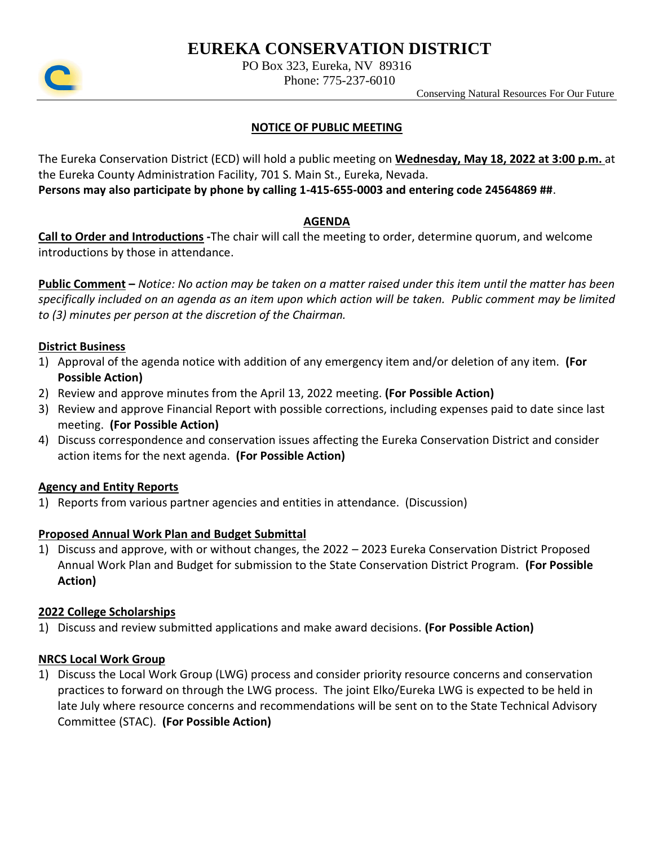# **EUREKA CONSERVATION DISTRICT**



PO Box 323, Eureka, NV 89316

Phone: 775-237-6010

Conserving Natural Resources For Our Future

## **NOTICE OF PUBLIC MEETING**

The Eureka Conservation District (ECD) will hold a public meeting on **Wednesday, May 18, 2022 at 3:00 p.m.** at the Eureka County Administration Facility, 701 S. Main St., Eureka, Nevada.

**Persons may also participate by phone by calling 1-415-655-0003 and entering code 24564869 ##**.

#### **AGENDA**

**Call to Order and Introductions -**The chair will call the meeting to order, determine quorum, and welcome introductions by those in attendance.

**Public Comment –** *Notice: No action may be taken on a matter raised under this item until the matter has been specifically included on an agenda as an item upon which action will be taken. Public comment may be limited to (3) minutes per person at the discretion of the Chairman.*

#### **District Business**

- 1) Approval of the agenda notice with addition of any emergency item and/or deletion of any item. **(For Possible Action)**
- 2) Review and approve minutes from the April 13, 2022 meeting. **(For Possible Action)**
- 3) Review and approve Financial Report with possible corrections, including expenses paid to date since last meeting. **(For Possible Action)**
- 4) Discuss correspondence and conservation issues affecting the Eureka Conservation District and consider action items for the next agenda. **(For Possible Action)**

#### **Agency and Entity Reports**

1) Reports from various partner agencies and entities in attendance. (Discussion)

# **Proposed Annual Work Plan and Budget Submittal**

1) Discuss and approve, with or without changes, the 2022 – 2023 Eureka Conservation District Proposed Annual Work Plan and Budget for submission to the State Conservation District Program. **(For Possible Action)**

#### **2022 College Scholarships**

1) Discuss and review submitted applications and make award decisions. **(For Possible Action)**

#### **NRCS Local Work Group**

1) Discuss the Local Work Group (LWG) process and consider priority resource concerns and conservation practices to forward on through the LWG process. The joint Elko/Eureka LWG is expected to be held in late July where resource concerns and recommendations will be sent on to the State Technical Advisory Committee (STAC). **(For Possible Action)**